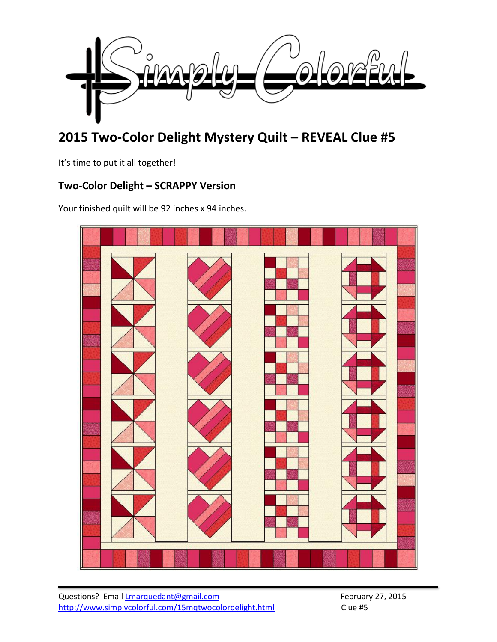

# **2015 Two-Color Delight Mystery Quilt – REVEAL Clue #5**

It's time to put it all together!

### **Two-Color Delight – SCRAPPY Version**

Your finished quilt will be 92 inches x 94 inches.

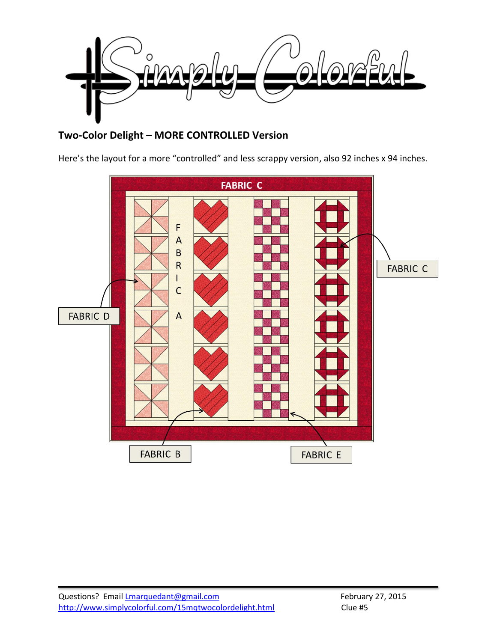

## **Two-Color Delight – MORE CONTROLLED Version**

Here's the layout for a more "controlled" and less scrappy version, also 92 inches x 94 inches.

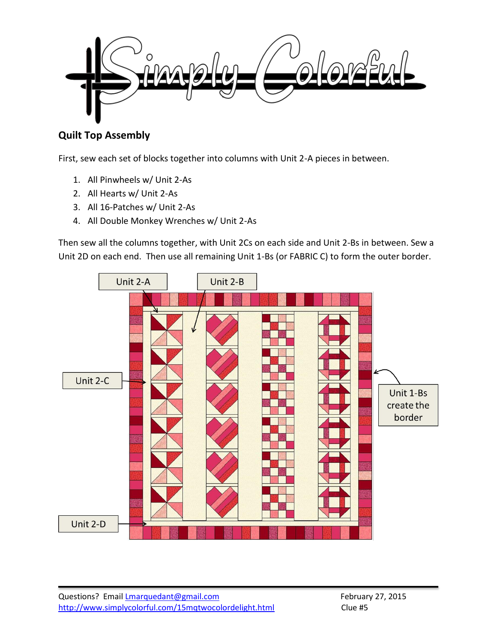

## **Quilt Top Assembly**

First, sew each set of blocks together into columns with Unit 2-A pieces in between.

- 1. All Pinwheels w/ Unit 2-As
- 2. All Hearts w/ Unit 2-As
- 3. All 16-Patches w/ Unit 2-As
- 4. All Double Monkey Wrenches w/ Unit 2-As

Then sew all the columns together, with Unit 2Cs on each side and Unit 2-Bs in between. Sew a Unit 2D on each end. Then use all remaining Unit 1-Bs (or FABRIC C) to form the outer border.